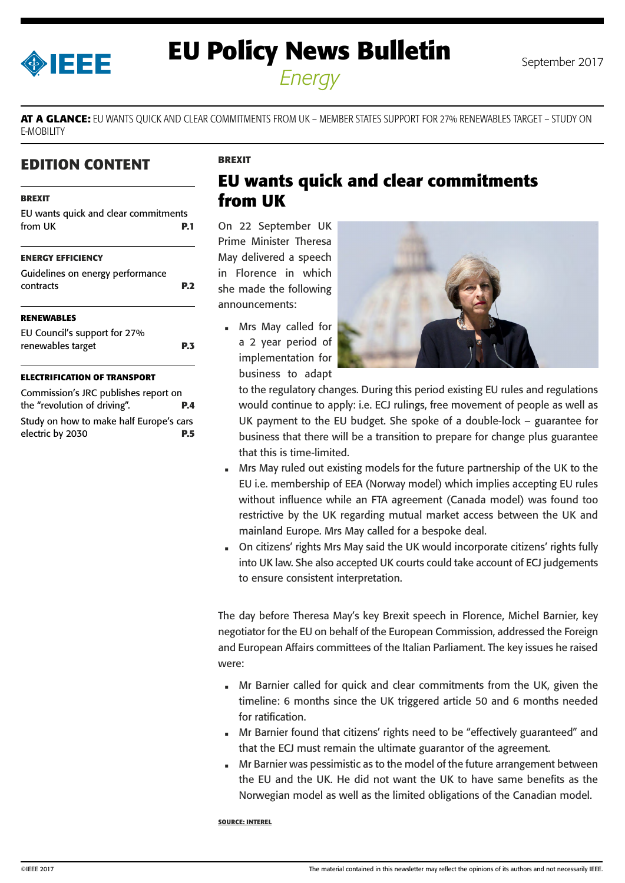<span id="page-0-0"></span>

# **EU Policy News Bulletin** September 2017

*Energy*

**AT A GLANCE:** EU WANTS QUICK AND CLEAR COMMITMENTS FROM UK – MEMBER STATES SUPPORT FOR 27% RENEWABLES TARGET – STUDY ON E-MOBILITY

## **EDITION CONTENT**

#### **BREXIT**

| EU wants quick and clear commitments<br>from UK | P.1             |
|-------------------------------------------------|-----------------|
| <b>ENERGY EFFICIENCY</b>                        |                 |
| Guidelines on energy performance<br>contracts   | P. <sub>2</sub> |
| <b>RENEWABLES</b>                               |                 |
| EU Council's support for 27%                    |                 |
| renewables target                               | PЗ              |
| EFTDIEIFATIAN AE TDANCDA                        |                 |

#### **ELECTRIFICATION OF TRANSPORT**

Commission's JRC publishes report on the "revolution of driving". **P.4** Study on how to make half Europe's cars electric by 2030 **P.5**

## **EU wants quick and clear commitments from UK**

On 22 September UK Prime Minister Theresa May delivered a speech in Florence in which she made the following announcements:

**BREXIT**

 Mrs May called for a 2 year period of implementation for business to adapt



to the regulatory changes. During this period existing EU rules and regulations would continue to apply: i.e. ECJ rulings, free movement of people as well as UK payment to the EU budget. She spoke of a double-lock – guarantee for business that there will be a transition to prepare for change plus guarantee that this is time-limited.

- Mrs May ruled out existing models for the future partnership of the UK to the EU i.e. membership of EEA (Norway model) which implies accepting EU rules without influence while an FTA agreement (Canada model) was found too restrictive by the UK regarding mutual market access between the UK and mainland Europe. Mrs May called for a bespoke deal.
- On citizens' rights Mrs May said the UK would incorporate citizens' rights fully into UK law. She also accepted UK courts could take account of ECJ judgements to ensure consistent interpretation.

The day before Theresa May's key Brexit speech in Florence, Michel Barnier, key negotiator for the EU on behalf of the European Commission, addressed the Foreign and European Affairs committees of the Italian Parliament. The key issues he raised were:

- Mr Barnier called for quick and clear commitments from the UK, given the timeline: 6 months since the UK triggered article 50 and 6 months needed for ratification.
- Mr Barnier found that citizens' rights need to be "effectively guaranteed" and that the ECJ must remain the ultimate guarantor of the agreement.
- Mr Barnier was pessimistic as to the model of the future arrangement between the EU and the UK. He did not want the UK to have same benefits as the Norwegian model as well as the limited obligations of the Canadian model.

#### **SOURCE: INTEREL**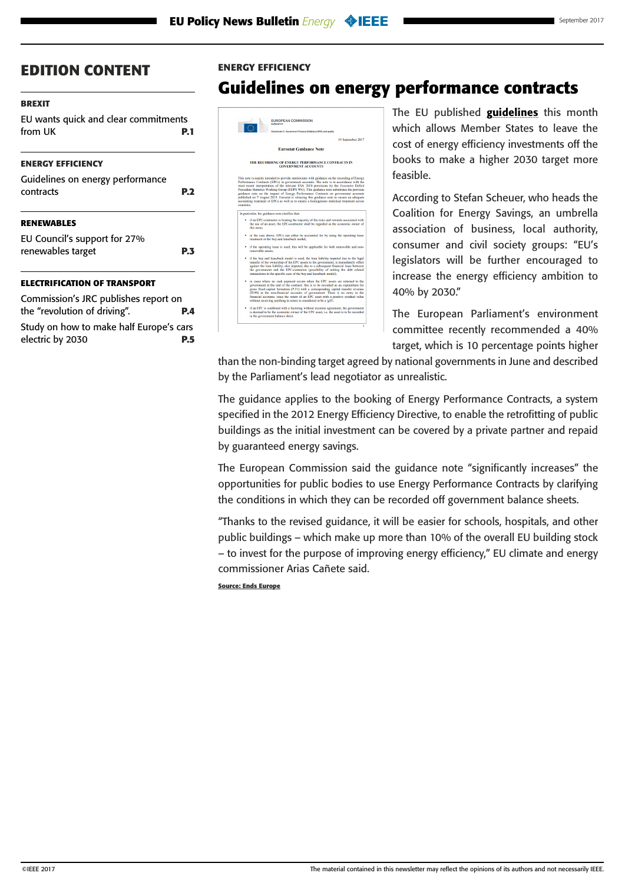#### <span id="page-1-0"></span>**[BREXIT](#page-0-0)**

[EU wants quick and clear commitments](#page-0-0)  [from UK](#page-0-0) **P.1**

#### **ENERGY EFFICIENCY**

| Guidelines on energy performance<br>contracts | P <sub>2</sub> |
|-----------------------------------------------|----------------|
| <b>RENEWABLES</b>                             |                |
| EU Council's support for 27%                  |                |
| renewables target                             | <b>P.3</b>     |
| ELECTRIFICATION OF TRANSPORT                  |                |
| Commission's JRC publishes report on          |                |

[the "revolution of driving".](#page-3-0) **P.4** [Study on how to make half Europe's cars](#page-4-0)  [electric by 2030](#page-4-0) **P.5**

#### **ENERGY EFFICIENCY**

## **Guidelines on energy performance contracts**



The EU published **[guidelines](http://ec.europa.eu/eurostat/documents/1015035/7959867/Eurostat-Guidance-Note-Recording-Energy-Perform-Contracts-Gov-Accounts.pdf/)** this month which allows Member States to leave the cost of energy efficiency investments off the books to make a higher 2030 target more feasible.

According to Stefan Scheuer, who heads the Coalition for Energy Savings, an umbrella association of business, local authority, consumer and civil society groups: "EU's legislators will be further encouraged to increase the energy efficiency ambition to 40% by 2030."

The European Parliament's environment committee recently recommended a 40% target, which is 10 percentage points higher

than the non-binding target agreed by national governments in June and described by the Parliament's lead negotiator as [unrealistic.](http://www.endseurope.com/article/50172/lead-mep-40-energy-efficiency-target-unrealistic)

The guidance applies to the booking of Energy Performance Contracts, a system specified in the 2012 Energy Efficiency Directive, to enable the retrofitting of public buildings as the initial investment can be covered by a private partner and repaid by guaranteed energy savings.

The European Commission said the guidance note "significantly increases" the opportunities for public bodies to use Energy Performance Contracts by clarifying the conditions in which they can be recorded off government balance sheets.

"Thanks to the revised guidance, it will be easier for schools, hospitals, and other public buildings – which make up more than 10% of the overall EU building stock – to invest for the purpose of improving energy efficiency," EU climate and energy commissioner Arias Cañete said.

**Source: Ends Europe**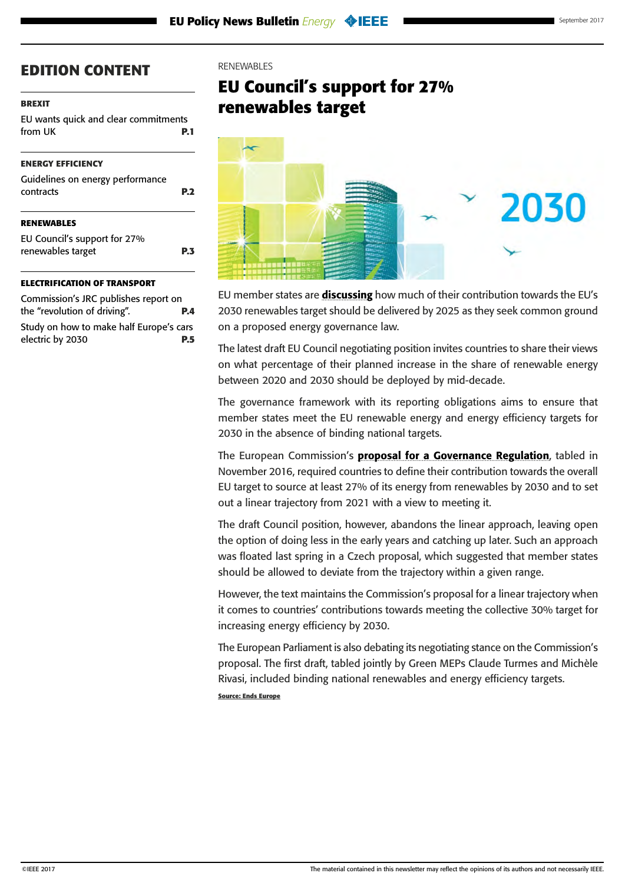#### <span id="page-2-0"></span>**[BREXIT](#page-0-0)**

[EU wants quick and clear commitments](#page-0-0)  [from UK](#page-0-0) **P.1**

#### **[ENERGY EFFICIENCY](#page-1-0)**

| Guidelines on energy performance<br>contracts     | P. <sub>2</sub> |
|---------------------------------------------------|-----------------|
| <b>RENEWABLES</b>                                 |                 |
| EU Council's support for 27%<br>renewables target | P.3             |

#### **[ELECTRIFICATION OF TRANSPORT](#page-3-0)**

[Commission's JRC publishes report on](#page-3-0)  [the "revolution of driving".](#page-3-0) **P.4** [Study on how to make half Europe's cars](#page-4-0)  [electric by 2030](#page-4-0) **P.5**

#### RENEWABLES

## **EU Council's support for 27% renewables target**



EU member states are **[discussing](http://data.consilium.europa.eu/doc/document/ST-7204-2017-REV-1/en/pdf)** how much of their contribution towards the EU's 2030 renewables target should be delivered by 2025 as they seek common ground on a proposed energy governance law.

The latest draft EU Council negotiating position invites countries to share their views on what percentage of their planned increase in the share of renewable energy between 2020 and 2030 should be deployed by mid-decade.

The governance framework with its reporting obligations aims to ensure that member states meet the EU renewable energy and energy efficiency targets for 2030 in the absence of binding national targets.

The European Commission's [proposal for a Governance Regulation](https://ec.europa.eu/energy/sites/ener/files/documents/1_en_act_part1_v9_759.pdf), tabled in November 2016, required countries to define their contribution towards the overall EU target to source at least 27% of its energy from renewables by 2030 and to set out a linear trajectory from 2021 with a view to meeting it.

The draft Council position, however, abandons the linear approach, leaving open the option of doing less in the early years and catching up later. Such an approach was floated last spring in a Czech proposal, which suggested that member states should be allowed to deviate from the trajectory within a given range.

However, the text maintains the Commission's proposal for a linear trajectory when it comes to countries' contributions towards meeting the collective 30% target for increasing energy efficiency by 2030.

The European Parliament is also debating its negotiating stance on the Commission's proposal. The first draft, tabled jointly by Green MEPs Claude Turmes and Michèle Rivasi, included binding national renewables and energy efficiency targets. **Source: Ends Europe**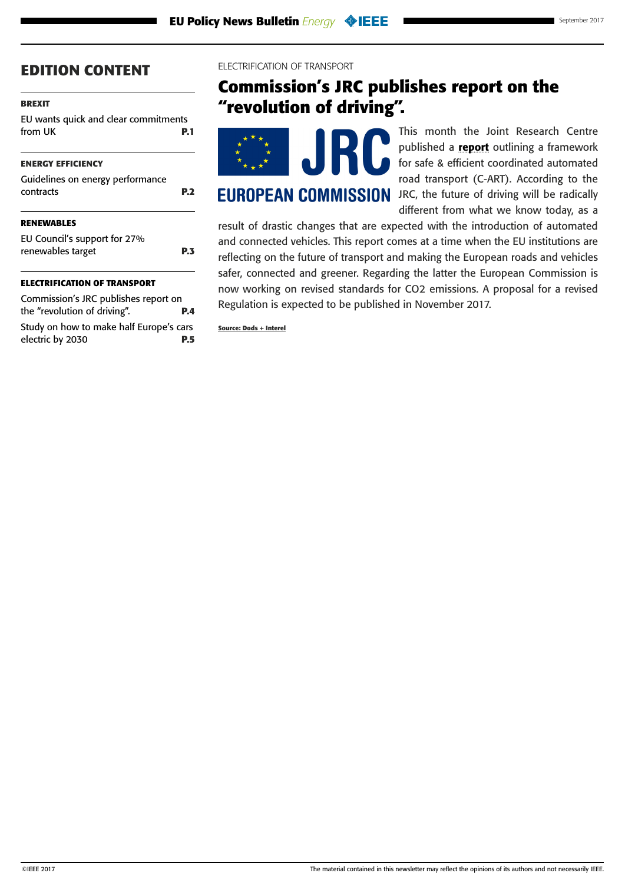#### <span id="page-3-0"></span>**[BREXIT](#page-0-0)**

[EU wants quick and clear commitments](#page-0-0)  [from UK](#page-0-0) **P.1**

#### **[ENERGY EFFICIENCY](#page-1-0)**

| Guidelines on energy performance<br>contracts | <b>P.2</b> |
|-----------------------------------------------|------------|
| <b>RENEWABLES</b>                             |            |
| $\blacksquare$                                |            |

[EU Council's support for 27%](#page-2-0)  [renewables target](#page-2-0) **P.3**

#### **ELECTRIFICATION OF TRANSPORT**

Commission's JRC publishes report on the "revolution of driving". **P.4** [Study on how to make half Europe's cars](#page-4-0)  [electric by 2030](#page-4-0) **P.5**

#### ELECTRIFICATION OF TRANSPORT

## **Commission's JRC publishes report on the "revolution of driving".**



This month the Joint Research Centre published a [report](http://publications.jrc.ec.europa.eu/repository/bitstream/JRC106565/art_science_for_policy_report_1-soa_final_tobepublished_online.pdf) outlining a framework for safe & efficient coordinated automated road transport (C-ART). According to the **EUROPEAN COMMISSION** JRC, the future of driving will be radically different from what we know today, as a

result of drastic changes that are expected with the introduction of automated and connected vehicles. This report comes at a time when the EU institutions are reflecting on the future of transport and making the European roads and vehicles safer, connected and greener. Regarding the latter the European Commission is now working on revised standards for CO2 emissions. A proposal for a revised Regulation is expected to be published in November 2017.

**Source: Dods + Interel**